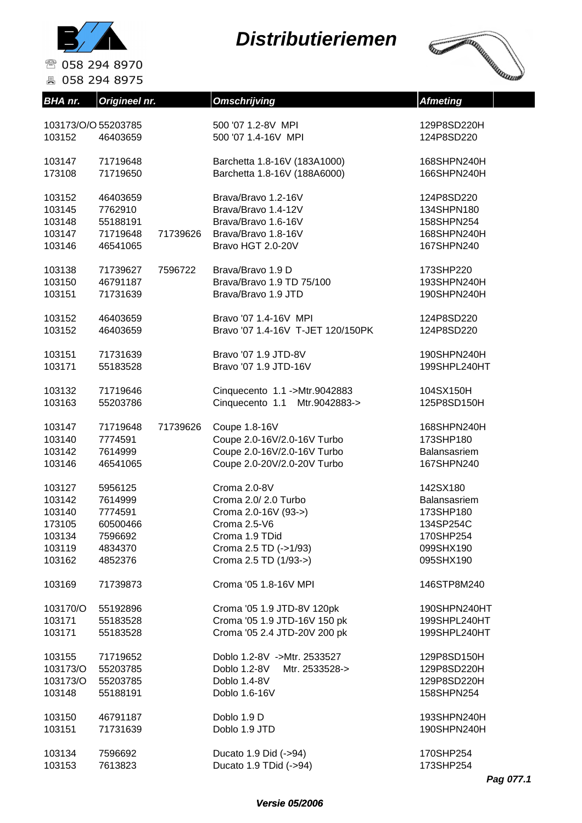



| <b>BHA</b> nr.     | Origineel nr. |          | <b>Omschrijving</b>               | <b>Afmeting</b> |
|--------------------|---------------|----------|-----------------------------------|-----------------|
| 103173/0/055203785 |               |          | 500 '07 1.2-8V MPI                | 129P8SD220H     |
| 103152             | 46403659      |          | 500 '07 1.4-16V MPI               | 124P8SD220      |
| 103147             | 71719648      |          | Barchetta 1.8-16V (183A1000)      | 168SHPN240H     |
| 173108             | 71719650      |          | Barchetta 1.8-16V (188A6000)      | 166SHPN240H     |
| 103152             | 46403659      |          | Brava/Bravo 1.2-16V               | 124P8SD220      |
| 103145             | 7762910       |          | Brava/Bravo 1.4-12V               | 134SHPN180      |
| 103148             | 55188191      |          | Brava/Bravo 1.6-16V               | 158SHPN254      |
| 103147             | 71719648      | 71739626 | Brava/Bravo 1.8-16V               | 168SHPN240H     |
| 103146             | 46541065      |          | Bravo HGT 2.0-20V                 | 167SHPN240      |
| 103138             | 71739627      | 7596722  | Brava/Bravo 1.9 D                 | 173SHP220       |
| 103150             | 46791187      |          | Brava/Bravo 1.9 TD 75/100         | 193SHPN240H     |
| 103151             | 71731639      |          | Brava/Bravo 1.9 JTD               | 190SHPN240H     |
| 103152             | 46403659      |          | Bravo '07 1.4-16V MPI             | 124P8SD220      |
| 103152             | 46403659      |          | Bravo '07 1.4-16V T-JET 120/150PK | 124P8SD220      |
| 103151             | 71731639      |          | Bravo '07 1.9 JTD-8V              | 190SHPN240H     |
| 103171             | 55183528      |          | Bravo '07 1.9 JTD-16V             | 199SHPL240HT    |
| 103132             | 71719646      |          | Cinquecento 1.1 ->Mtr.9042883     | 104SX150H       |
| 103163             | 55203786      |          | Cinquecento 1.1 Mtr.9042883->     | 125P8SD150H     |
| 103147             | 71719648      | 71739626 | Coupe 1.8-16V                     | 168SHPN240H     |
| 103140             | 7774591       |          | Coupe 2.0-16V/2.0-16V Turbo       | 173SHP180       |
| 103142             | 7614999       |          | Coupe 2.0-16V/2.0-16V Turbo       | Balansasriem    |
| 103146             | 46541065      |          | Coupe 2.0-20V/2.0-20V Turbo       | 167SHPN240      |
| 103127             | 5956125       |          | Croma 2.0-8V                      | 142SX180        |
| 103142             | 7614999       |          | Croma 2.0/2.0 Turbo               | Balansasriem    |
| 103140             | 7774591       |          | Croma 2.0-16V (93->)              | 173SHP180       |
| 173105             | 60500466      |          | Croma 2.5-V6                      | 134SP254C       |
| 103134             | 7596692       |          | Croma 1.9 TDid                    | 170SHP254       |
| 103119             | 4834370       |          | Croma 2.5 TD (->1/93)             | 099SHX190       |
| 103162             | 4852376       |          | Croma 2.5 TD (1/93->)             | 095SHX190       |
| 103169             | 71739873      |          | Croma '05 1.8-16V MPI             | 146STP8M240     |
| 103170/O           | 55192896      |          | Croma '05 1.9 JTD-8V 120pk        | 190SHPN240HT    |
| 103171             | 55183528      |          | Croma '05 1.9 JTD-16V 150 pk      | 199SHPL240HT    |
| 103171             | 55183528      |          | Croma '05 2.4 JTD-20V 200 pk      | 199SHPL240HT    |
| 103155             | 71719652      |          | Doblo 1.2-8V ->Mtr. 2533527       | 129P8SD150H     |
| 103173/O           | 55203785      |          | Doblo 1.2-8V<br>Mtr. 2533528->    | 129P8SD220H     |
| 103173/O           | 55203785      |          | Doblo 1.4-8V                      | 129P8SD220H     |
| 103148             | 55188191      |          | Doblo 1.6-16V                     | 158SHPN254      |
| 103150             | 46791187      |          | Doblo 1.9 D                       | 193SHPN240H     |
| 103151             | 71731639      |          | Doblo 1.9 JTD                     | 190SHPN240H     |
| 103134             | 7596692       |          | Ducato 1.9 Did (->94)             | 170SHP254       |
| 103153             | 7613823       |          | Ducato 1.9 TDid (->94)            | 173SHP254       |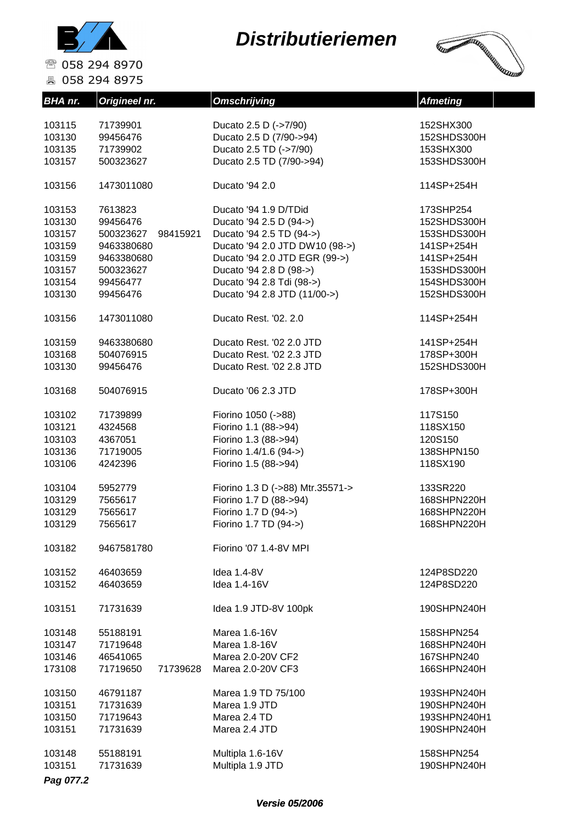



☎ 058 294 8970 昌 058 294 8975

| BHA nr.          | Origineel nr.         | <b>Omschrijving</b>                  | <b>Afmeting</b>           |
|------------------|-----------------------|--------------------------------------|---------------------------|
| 103115           | 71739901              | Ducato 2.5 D (->7/90)                | 152SHX300                 |
| 103130           | 99456476              | Ducato 2.5 D (7/90->94)              | 152SHDS300H               |
| 103135           | 71739902              | Ducato 2.5 TD (->7/90)               | 153SHX300                 |
|                  |                       |                                      |                           |
| 103157           | 500323627             | Ducato 2.5 TD (7/90->94)             | 153SHDS300H               |
| 103156           | 1473011080            | Ducato '94 2.0                       | 114SP+254H                |
| 103153           | 7613823               | Ducato '94 1.9 D/TDid                | 173SHP254                 |
| 103130           | 99456476              | Ducato '94 2.5 D (94->)              | 152SHDS300H               |
| 103157           | 500323627<br>98415921 | Ducato '94 2.5 TD (94->)             | 153SHDS300H               |
| 103159           | 9463380680            | Ducato '94 2.0 JTD DW10 (98->)       | 141SP+254H                |
| 103159           | 9463380680            | Ducato '94 2.0 JTD EGR (99->)        | 141SP+254H                |
| 103157           | 500323627             | Ducato '94 2.8 D (98->)              | 153SHDS300H               |
| 103154           | 99456477              | Ducato '94 2.8 Tdi (98->)            | 154SHDS300H               |
|                  |                       |                                      |                           |
| 103130           | 99456476              | Ducato '94 2.8 JTD (11/00->)         | 152SHDS300H               |
| 103156           | 1473011080            | Ducato Rest. '02. 2.0                | 114SP+254H                |
| 103159           | 9463380680            | Ducato Rest. '02 2.0 JTD             | 141SP+254H                |
| 103168           | 504076915             | Ducato Rest. '02 2.3 JTD             | 178SP+300H                |
| 103130           | 99456476              | Ducato Rest. '02 2.8 JTD             | 152SHDS300H               |
| 103168           | 504076915             | Ducato '06 2.3 JTD                   | 178SP+300H                |
| 103102           | 71739899              | Fiorino 1050 (->88)                  | 117S150                   |
| 103121           | 4324568               | Fiorino 1.1 (88->94)                 | 118SX150                  |
| 103103           | 4367051               | Fiorino 1.3 (88->94)                 | 120S150                   |
| 103136           | 71719005              | Fiorino 1.4/1.6 (94->)               | 138SHPN150                |
| 103106           | 4242396               | Fiorino 1.5 (88->94)                 | 118SX190                  |
| 103104           | 5952779               | Fiorino 1.3 D (->88) Mtr.35571->     | 133SR220                  |
| 103129           | 7565617               | Fiorino 1.7 D (88->94)               | 168SHPN220H               |
| 103129           | 7565617               | Fiorino 1.7 D (94->)                 | 168SHPN220H               |
| 103129           | 7565617               | Fiorino 1.7 TD (94->)                | 168SHPN220H               |
|                  |                       |                                      |                           |
| 103182           | 9467581780            | Fiorino '07 1.4-8V MPI               |                           |
| 103152           | 46403659              | Idea 1.4-8V                          | 124P8SD220                |
| 103152           | 46403659              | Idea 1.4-16V                         | 124P8SD220                |
| 103151           | 71731639              | Idea 1.9 JTD-8V 100pk                | 190SHPN240H               |
| 103148           | 55188191              | Marea 1.6-16V                        | 158SHPN254                |
| 103147           | 71719648              | Marea 1.8-16V                        | 168SHPN240H               |
| 103146           | 46541065              | Marea 2.0-20V CF2                    | 167SHPN240                |
| 173108           | 71719650<br>71739628  | Marea 2.0-20V CF3                    | 166SHPN240H               |
| 103150           | 46791187              | Marea 1.9 TD 75/100                  | 193SHPN240H               |
| 103151           | 71731639              | Marea 1.9 JTD                        | 190SHPN240H               |
| 103150           | 71719643              | Marea 2.4 TD                         | 193SHPN240H1              |
| 103151           | 71731639              | Marea 2.4 JTD                        | 190SHPN240H               |
|                  |                       |                                      |                           |
| 103148<br>103151 | 55188191<br>71731639  | Multipla 1.6-16V<br>Multipla 1.9 JTD | 158SHPN254<br>190SHPN240H |
|                  |                       |                                      |                           |
| Pag 077.2        |                       |                                      |                           |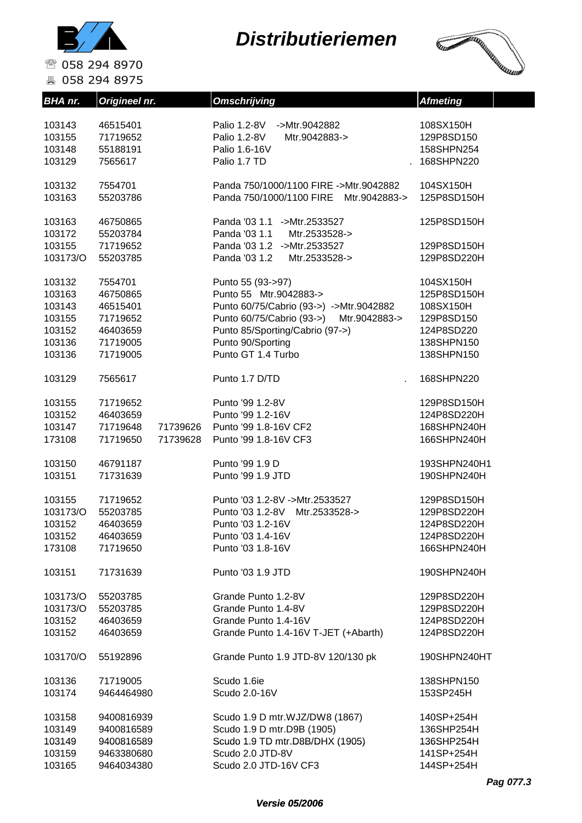

**A** 058 294 8975

#### **Distributieriemen**



**BHA nr.** Origineel nr. **Omschrijving Construction Afmeting** 103143 46515401 Palio 1.2-8V ->Mtr.9042882 108SX150H 103155 71719652 Palio 1.2-8V Mtr.9042883-> 129P8SD150 103148 55188191 Palio 1.6-16V 158SHPN254 103129 7565617 Palio 1.7 TD . 168SHPN220 103132 7554701 Panda 750/1000/1100 FIRE ->Mtr.9042882 104SX150H 103163 55203786 Panda 750/1000/1100 FIRE Mtr.9042883-> 125P8SD150H 103163 46750865 Panda '03 1.1 ->Mtr.2533527 125P8SD150H 103172 55203784 Panda '03 1.1 Mtr.2533528-> 103155 71719652 Panda '03 1.2 ->Mtr.2533527 129P8SD150H 103173/O 55203785 Panda '03 1.2 Mtr.2533528-> 129P8SD220H 103132 7554701 Punto 55 (93->97) 104SX150H 103163 46750865 Punto 55 Mtr.9042883-> 125P8SD150H 103143 46515401 Punto 60/75/Cabrio (93->) ->Mtr.9042882 108SX150H 103155 71719652 Punto 60/75/Cabrio (93->) Mtr.9042883-> 129P8SD150 103152 46403659 Punto 85/Sporting/Cabrio (97->) 124P8SD220 103136 71719005 Punto 90/Sporting 138SHPN150 103136 71719005 Punto GT 1.4 Turbo 138SHPN150 103129 7565617 Punto 1.7 D/TD . 168SHPN220 103155 71719652 Punto '99 1.2-8V 129P8SD150H 103152 46403659 Punto '99 1.2-16V 124P8SD220H 103147 71719648 71739626 Punto '99 1.8-16V CF2 168SHPN240H 173108 71719650 71739628 Punto '99 1.8-16V CF3 166SHPN240H 103150 46791187 Punto '99 1.9 D 193SHPN240H1 103151 71731639 Punto '99 1.9 JTD 190SHPN240H 103155 71719652 Punto '03 1.2-8V ->Mtr.2533527 129P8SD150H 103173/O 55203785 Punto '03 1.2-8V Mtr.2533528-> 129P8SD220H 103152 46403659 Punto '03 1.2-16V 124P8SD220H 103152 46403659 Punto '03 1.4-16V 124P8SD220H 173108 71719650 Punto '03 1.8-16V 166SHPN240H 103151 71731639 Punto '03 1.9 JTD 190SHPN240H 103173/O 55203785 Grande Punto 1.2-8V 129P8SD220H 103173/O 55203785 Grande Punto 1.4-8V 129P8SD220H 103152 46403659 Grande Punto 1.4-16V 124P8SD220H 103152 46403659 Grande Punto 1.4-16V T-JET (+Abarth) 124P8SD220H 103170/O 55192896 Grande Punto 1.9 JTD-8V 120/130 pk 190SHPN240HT 103136 71719005 Scudo 1.6ie 138SHPN150 103174 9464464980 Scudo 2.0-16V 153SP245H 103158 9400816939 Scudo 1.9 D mtr.WJZ/DW8 (1867) 140SP+254H 103149 9400816589 Scudo 1.9 D mtr.D9B (1905) 136SHP254H 103149 9400816589 Scudo 1.9 TD mtr.D8B/DHX (1905) 136SHP254H

103159 9463380680 Scudo 2.0 JTD-8V 141SP+254H 103165 9464034380 Scudo 2.0 JTD-16V CF3 144SP+254H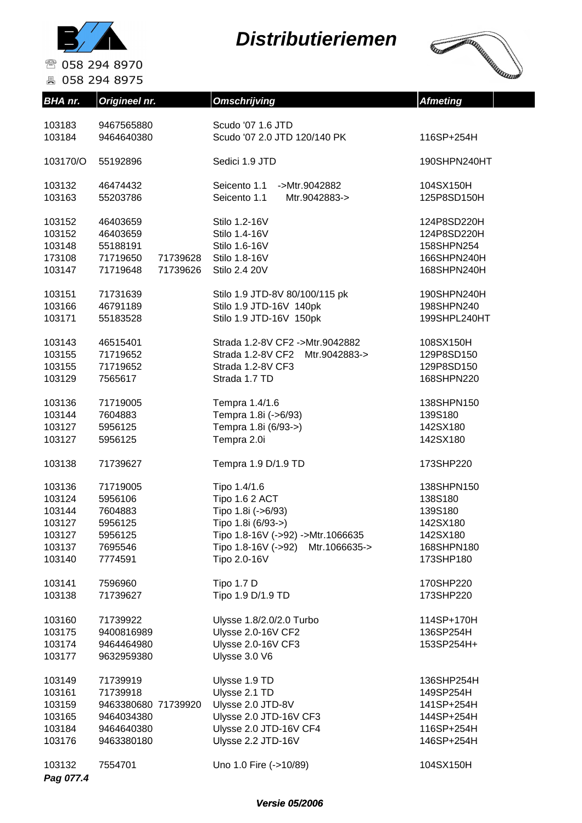



| <b>BHA</b> nr.                                                     | Origineel nr.                                                                         | <b>Omschrijving</b>                                                                                                                                                     | <b>Afmeting</b>                                                                     |
|--------------------------------------------------------------------|---------------------------------------------------------------------------------------|-------------------------------------------------------------------------------------------------------------------------------------------------------------------------|-------------------------------------------------------------------------------------|
| 103183<br>103184                                                   | 9467565880<br>9464640380                                                              | Scudo '07 1.6 JTD<br>Scudo '07 2.0 JTD 120/140 PK                                                                                                                       | 116SP+254H                                                                          |
| 103170/O                                                           | 55192896                                                                              | Sedici 1.9 JTD                                                                                                                                                          | 190SHPN240HT                                                                        |
| 103132<br>103163                                                   | 46474432<br>55203786                                                                  | Seicento 1.1<br>->Mtr.9042882<br>Seicento 1.1<br>Mtr.9042883->                                                                                                          | 104SX150H<br>125P8SD150H                                                            |
| 103152<br>103152<br>103148<br>173108<br>103147                     | 46403659<br>46403659<br>55188191<br>71719650<br>71739628<br>71719648<br>71739626      | Stilo 1.2-16V<br>Stilo 1.4-16V<br>Stilo 1.6-16V<br>Stilo 1.8-16V<br>Stilo 2.4 20V                                                                                       | 124P8SD220H<br>124P8SD220H<br>158SHPN254<br>166SHPN240H<br>168SHPN240H              |
| 103151<br>103166<br>103171                                         | 71731639<br>46791189<br>55183528                                                      | Stilo 1.9 JTD-8V 80/100/115 pk<br>Stilo 1.9 JTD-16V 140pk<br>Stilo 1.9 JTD-16V 150pk                                                                                    | 190SHPN240H<br>198SHPN240<br>199SHPL240HT                                           |
| 103143<br>103155<br>103155<br>103129                               | 46515401<br>71719652<br>71719652<br>7565617                                           | Strada 1.2-8V CF2 ->Mtr.9042882<br>Strada 1.2-8V CF2 Mtr.9042883-><br>Strada 1.2-8V CF3<br>Strada 1.7 TD                                                                | 108SX150H<br>129P8SD150<br>129P8SD150<br>168SHPN220                                 |
| 103136<br>103144<br>103127<br>103127                               | 71719005<br>7604883<br>5956125<br>5956125                                             | Tempra 1.4/1.6<br>Tempra 1.8i (->6/93)<br>Tempra 1.8i (6/93->)<br>Tempra 2.0i                                                                                           | 138SHPN150<br>139S180<br>142SX180<br>142SX180                                       |
| 103138                                                             | 71739627                                                                              | Tempra 1.9 D/1.9 TD                                                                                                                                                     | 173SHP220                                                                           |
| 103136<br>103124<br>103144<br>103127<br>103127<br>103137<br>103140 | 71719005<br>5956106<br>7604883<br>5956125<br>5956125<br>7695546<br>7774591            | Tipo 1.4/1.6<br>Tipo 1.6 2 ACT<br>Tipo 1.8i (->6/93)<br>Tipo 1.8i (6/93->)<br>Tipo 1.8-16V (->92) ->Mtr.1066635<br>Tipo 1.8-16V (->92)<br>Mtr.1066635-><br>Tipo 2.0-16V | 138SHPN150<br>138S180<br>139S180<br>142SX180<br>142SX180<br>168SHPN180<br>173SHP180 |
| 103141<br>103138                                                   | 7596960<br>71739627                                                                   | Tipo 1.7 D<br>Tipo 1.9 D/1.9 TD                                                                                                                                         | 170SHP220<br>173SHP220                                                              |
| 103160<br>103175<br>103174<br>103177                               | 71739922<br>9400816989<br>9464464980<br>9632959380                                    | Ulysse 1.8/2.0/2.0 Turbo<br>Ulysse 2.0-16V CF2<br><b>Ulysse 2.0-16V CF3</b><br>Ulysse 3.0 V6                                                                            | 114SP+170H<br>136SP254H<br>153SP254H+                                               |
| 103149<br>103161<br>103159<br>103165<br>103184<br>103176           | 71739919<br>71739918<br>9463380680 71739920<br>9464034380<br>9464640380<br>9463380180 | Ulysse 1.9 TD<br>Ulysse 2.1 TD<br>Ulysse 2.0 JTD-8V<br>Ulysse 2.0 JTD-16V CF3<br>Ulysse 2.0 JTD-16V CF4<br>Ulysse 2.2 JTD-16V                                           | 136SHP254H<br>149SP254H<br>141SP+254H<br>144SP+254H<br>116SP+254H<br>146SP+254H     |
| 103132<br>Pag 077.4                                                | 7554701                                                                               | Uno 1.0 Fire (->10/89)                                                                                                                                                  | 104SX150H                                                                           |

#### **Versie 05/2006**